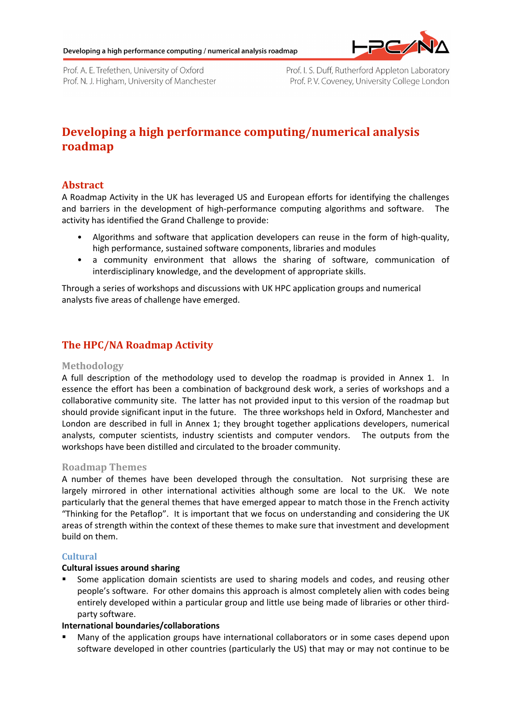

Prof. A. E. Trefethen, University of Oxford Prof. N. J. Higham, University of Manchester Prof. I. S. Duff, Rutherford Appleton Laboratory Prof. P.V. Coveney, University College London

# **Developing
a
high
performance
computing/numerical
analysis roadmap**

## **Abstract**

A Roadmap Activity in the UK has leveraged US and European efforts for identifying the challenges and barriers in the development of high-performance computing algorithms and software. The activity has identified the Grand Challenge to provide:

- Algorithms and software that application developers can reuse in the form of high-quality, high
performance,
sustained
software
components,
libraries
and
modules
- a community environment that allows the sharing of software, communication of interdisciplinary
knowledge,
and
the
development
of
appropriate
skills.

Through
a
series
of
workshops
and
discussions
with
UK
HPC
application
groups
and
numerical analysts
five
areas
of
challenge
have
emerged.

# **The
HPC/NA
Roadmap
Activity**

## **Methodology**

A full description of the methodology used to develop the roadmap is provided in Annex 1. In essence the effort has been a combination of background desk work, a series of workshops and a collaborative community site. The latter has not provided input to this version of the roadmap but should provide significant input in the future. The three workshops held in Oxford, Manchester and London are described in full in Annex 1; they brought together applications developers, numerical analysts, computer scientists, industry scientists and computer vendors. The outputs from the workshops have been distilled and circulated to the broader community.

## **Roadmap
Themes**

A number of themes have been developed through the consultation. Not surprising these are largely mirrored in other international activities although some are local to the UK. We note particularly that the general themes that have emerged appear to match those in the French activity "Thinking for the Petaflop". It is important that we focus on understanding and considering the UK areas
of
strength
within
the
context
of
these
themes
to
make
sure
that
investment
and
development build
on
them.

## **Cultural**

## **Cultural
issues
around
sharing**

Some application domain scientists are used to sharing models and codes, and reusing other people's software. For other domains this approach is almost completely alien with codes being entirely developed within a particular group and little use being made of libraries or other thirdparty
software.

## **International
boundaries/collaborations**

Many of the application groups have international collaborators or in some cases depend upon software developed in other countries (particularly the US) that may or may not continue to be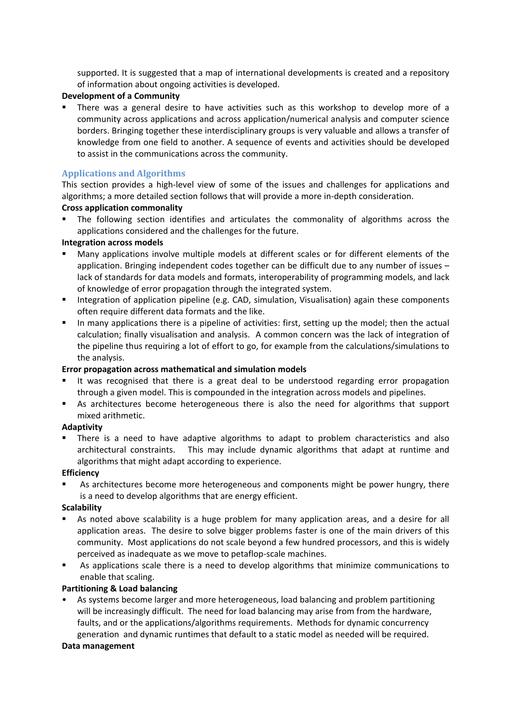supported. It is suggested that a map of international developments is created and a repository of
information
about
ongoing
activities
is
developed.

## **Development
of
a
Community**

There was a general desire to have activities such as this workshop to develop more of a community across applications and across application/numerical analysis and computer science borders. Bringing together these interdisciplinary groups is very valuable and allows a transfer of knowledge from one field to another. A sequence of events and activities should be developed to
assist
in
the
communications
across
the
community.

## **Applications
and
Algorithms**

This section provides a high-level view of some of the issues and challenges for applications and algorithms;
a
more
detailed
section
follows
that
will
provide
a
more
in‐depth
consideration.

#### **Cross
application
commonality**

The following section identifies and articulates the commonality of algorithms across the applications
considered
and
the
challenges
for
the
future.

#### **Integration
across
models**

- Many applications involve multiple models at different scales or for different elements of the application. Bringing independent codes together can be difficult due to any number of issues lack of standards for data models and formats, interoperability of programming models, and lack of
knowledge
of
error
propagation
through
the
integrated
system.
- **EXECTE:** Integration of application pipeline (e.g. CAD, simulation, Visualisation) again these components often
require
different
data
formats
and
the
like.
- In many applications there is a pipeline of activities: first, setting up the model; then the actual calculation; finally visualisation and analysis. A common concern was the lack of integration of the pipeline thus requiring a lot of effort to go, for example from the calculations/simulations to the
analysis.

## **Error
propagation
across
mathematical
and
simulation
models**

- It was recognised that there is a great deal to be understood regarding error propagation through
a
given
model.
This
is
compounded
in
the
integration
across
models
and
pipelines.
- As architectures become heterogeneous there is also the need for algorithms that support mixed
arithmetic.

## **Adaptivity**

There is a need to have adaptive algorithms to adapt to problem characteristics and also architectural constraints. This may include dynamic algorithms that adapt at runtime and algorithms that might adapt according to experience.

## **Efficiency**

As architectures become more heterogeneous and components might be power hungry, there is
a
need
to
develop
algorithms
that
are
energy
efficient.

## **Scalability**

- As noted above scalability is a huge problem for many application areas, and a desire for all application areas. The desire to solve bigger problems faster is one of the main drivers of this community. Most applications do not scale beyond a few hundred processors, and this is widely perceived
as
inadequate
as
we
move
to
petaflop‐scale
machines.
- As applications scale there is a need to develop algorithms that minimize communications to enable
that
scaling.

## **Partitioning
&
Load
balancing**

As systems become larger and more heterogeneous, load balancing and problem partitioning will be increasingly difficult. The need for load balancing may arise from from the hardware, faults, and or the applications/algorithms requirements. Methods for dynamic concurrency generation and dynamic runtimes that default to a static model as needed will be required.

#### **Data
management**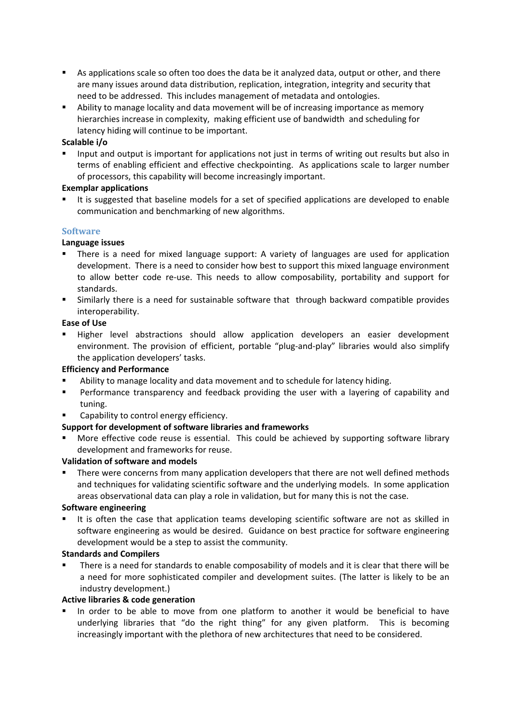- As applications scale so often too does the data be it analyzed data, output or other, and there are many issues around data distribution, replication, integration, integrity and security that need
to
be
addressed.

This
includes
management
of
metadata
and
ontologies.
- Ability to manage locality and data movement will be of increasing importance as memory hierarchies increase in complexity, making efficient use of bandwidth and scheduling for latency
hiding
will
continue
to
be
important.

## **Scalable
i/o**

Input and output is important for applications not just in terms of writing out results but also in terms of enabling efficient and effective checkpointing. As applications scale to larger number of
processors,
this
capability
will
become
increasingly
important.

## **Exemplar
applications**

It is suggested that baseline models for a set of specified applications are developed to enable communication
and
benchmarking
of
new
algorithms.

## **Software**

## **Language
issues**

- There is a need for mixed language support: A variety of languages are used for application development. There is a need to consider how best to support this mixed language environment to allow better code re-use. This needs to allow composability, portability and support for standards.
- Similarly there is a need for sustainable software that through backward compatible provides interoperability.

## **Ease
of
Use**

" Higher level abstractions should allow application developers an easier development environment. The provision of efficient, portable "plug-and-play" libraries would also simplify the
application
developers'
tasks.

## **Efficiency
and
Performance**

- Ability to manage locality and data movement and to schedule for latency hiding.
- **•** Performance transparency and feedback providing the user with a layering of capability and tuning.
- Capability
to
control
energy
efficiency.

## **Support
for
development
of
software
libraries
and
frameworks**

More effective code reuse is essential. This could be achieved by supporting software library development
and
frameworks
for
reuse.

## **Validation
of
software
and
models**

 There
were
concerns
from
many
application
developers
that
there
are
not
well
defined
methods and techniques for validating scientific software and the underlying models. In some application areas observational data can play a role in validation, but for many this is not the case.

## **Software
engineering**

It is often the case that application teams developing scientific software are not as skilled in software engineering as would be desired. Guidance on best practice for software engineering development
would
be
a
step
to
assist
the
community.

## **Standards
and
Compilers**

There is a need for standards to enable composability of models and it is clear that there will be a need for more sophisticated compiler and development suites. (The latter is likely to be an industry
development.)

## **Active
libraries
&
code
generation**

In order to be able to move from one platform to another it would be beneficial to have underlying libraries that "do the right thing" for any given platform. This is becoming increasingly
important
with
the
plethora
of
new
architectures
that
need
to
be
considered.